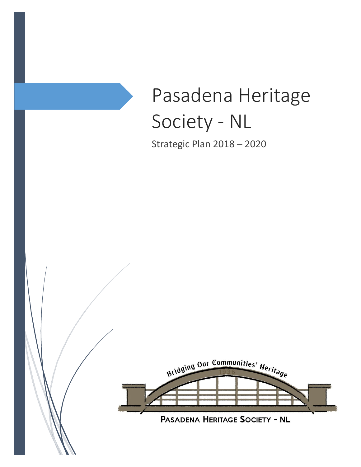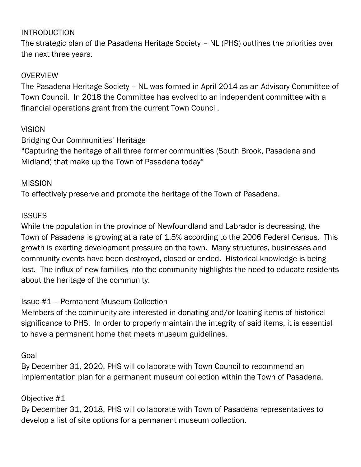## **INTRODUCTION**

The strategic plan of the Pasadena Heritage Society – NL (PHS) outlines the priorities over the next three years.

## **OVERVIEW**

The Pasadena Heritage Society – NL was formed in April 2014 as an Advisory Committee of Town Council. In 2018 the Committee has evolved to an independent committee with a financial operations grant from the current Town Council.

## **VISION**

Bridging Our Communities' Heritage

"Capturing the heritage of all three former communities (South Brook, Pasadena and Midland) that make up the Town of Pasadena today"

## **MISSION**

To effectively preserve and promote the heritage of the Town of Pasadena.

## **ISSUES**

While the population in the province of Newfoundland and Labrador is decreasing, the Town of Pasadena is growing at a rate of 1.5% according to the 2006 Federal Census. This growth is exerting development pressure on the town. Many structures, businesses and community events have been destroyed, closed or ended. Historical knowledge is being lost. The influx of new families into the community highlights the need to educate residents about the heritage of the community.

# Issue #1 – Permanent Museum Collection

Members of the community are interested in donating and/or loaning items of historical significance to PHS. In order to properly maintain the integrity of said items, it is essential to have a permanent home that meets museum guidelines.

## Goal

By December 31, 2020, PHS will collaborate with Town Council to recommend an implementation plan for a permanent museum collection within the Town of Pasadena.

# Objective #1

By December 31, 2018, PHS will collaborate with Town of Pasadena representatives to develop a list of site options for a permanent museum collection.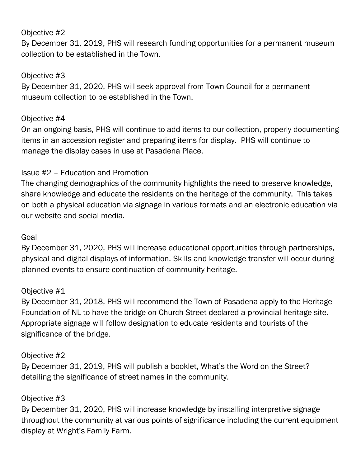## Objective #2

By December 31, 2019, PHS will research funding opportunities for a permanent museum collection to be established in the Town.

## Objective #3

By December 31, 2020, PHS will seek approval from Town Council for a permanent museum collection to be established in the Town.

## Objective #4

On an ongoing basis, PHS will continue to add items to our collection, properly documenting items in an accession register and preparing items for display. PHS will continue to manage the display cases in use at Pasadena Place.

# Issue #2 – Education and Promotion

The changing demographics of the community highlights the need to preserve knowledge, share knowledge and educate the residents on the heritage of the community. This takes on both a physical education via signage in various formats and an electronic education via our website and social media.

## Goal

By December 31, 2020, PHS will increase educational opportunities through partnerships, physical and digital displays of information. Skills and knowledge transfer will occur during planned events to ensure continuation of community heritage.

## Objective #1

By December 31, 2018, PHS will recommend the Town of Pasadena apply to the Heritage Foundation of NL to have the bridge on Church Street declared a provincial heritage site. Appropriate signage will follow designation to educate residents and tourists of the significance of the bridge.

## Objective #2

By December 31, 2019, PHS will publish a booklet, What's the Word on the Street? detailing the significance of street names in the community.

## Objective #3

By December 31, 2020, PHS will increase knowledge by installing interpretive signage throughout the community at various points of significance including the current equipment display at Wright's Family Farm.